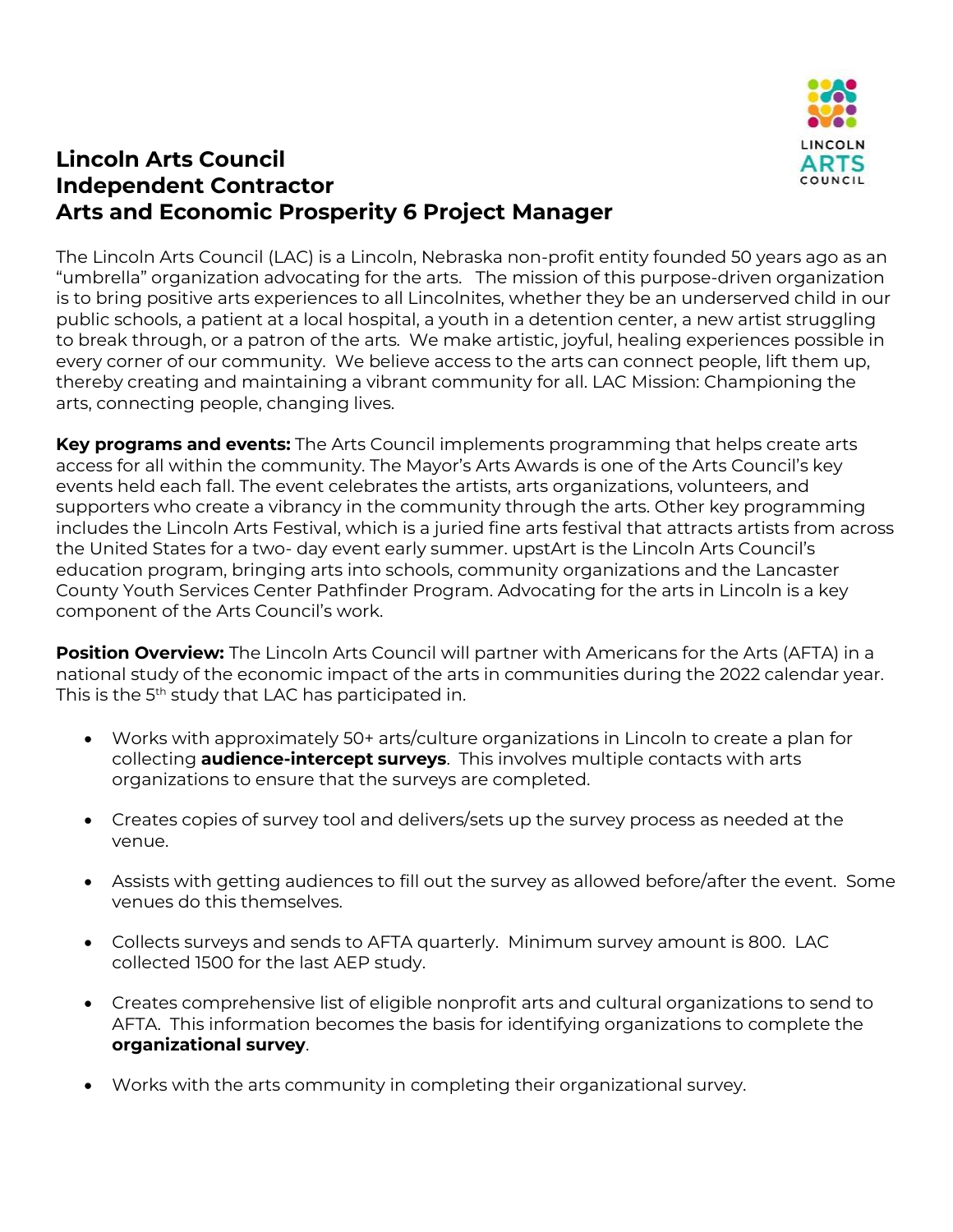

# **Lincoln Arts Council Independent Contractor Arts and Economic Prosperity 6 Project Manager**

The Lincoln Arts Council (LAC) is a Lincoln, Nebraska non-profit entity founded 50 years ago as an "umbrella" organization advocating for the arts. The mission of this purpose-driven organization is to bring positive arts experiences to all Lincolnites, whether they be an underserved child in our public schools, a patient at a local hospital, a youth in a detention center, a new artist struggling to break through, or a patron of the arts. We make artistic, joyful, healing experiences possible in every corner of our community. We believe access to the arts can connect people, lift them up, thereby creating and maintaining a vibrant community for all. LAC Mission: Championing the arts, connecting people, changing lives.

**Key programs and events:** The Arts Council implements programming that helps create arts access for all within the community. The Mayor's Arts Awards is one of the Arts Council's key events held each fall. The event celebrates the artists, arts organizations, volunteers, and supporters who create a vibrancy in the community through the arts. Other key programming includes the Lincoln Arts Festival, which is a juried fine arts festival that attracts artists from across the United States for a two- day event early summer. upstArt is the Lincoln Arts Council's education program, bringing arts into schools, community organizations and the Lancaster County Youth Services Center Pathfinder Program. Advocating for the arts in Lincoln is a key component of the Arts Council's work.

**Position Overview:** The Lincoln Arts Council will partner with Americans for the Arts (AFTA) in a national study of the economic impact of the arts in communities during the 2022 calendar year. This is the 5<sup>th</sup> study that LAC has participated in.

- Works with approximately 50+ arts/culture organizations in Lincoln to create a plan for collecting **audience-intercept surveys**. This involves multiple contacts with arts organizations to ensure that the surveys are completed.
- Creates copies of survey tool and delivers/sets up the survey process as needed at the venue.
- Assists with getting audiences to fill out the survey as allowed before/after the event. Some venues do this themselves.
- Collects surveys and sends to AFTA quarterly. Minimum survey amount is 800. LAC collected 1500 for the last AEP study.
- Creates comprehensive list of eligible nonprofit arts and cultural organizations to send to AFTA. This information becomes the basis for identifying organizations to complete the **organizational survey**.
- Works with the arts community in completing their organizational survey.